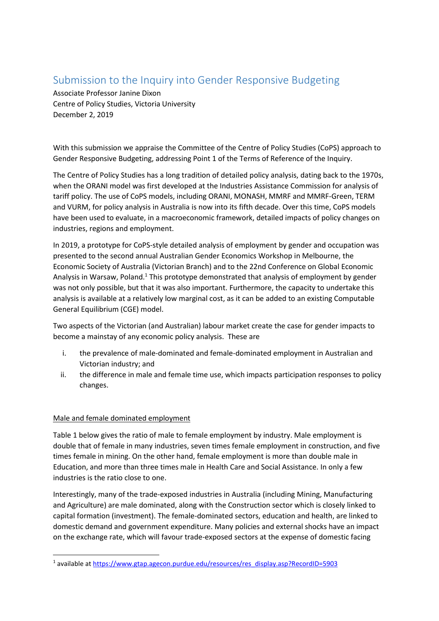## Submission to the Inquiry into Gender Responsive Budgeting

Associate Professor Janine Dixon Centre of Policy Studies, Victoria University December 2, 2019

With this submission we appraise the Committee of the Centre of Policy Studies (CoPS) approach to Gender Responsive Budgeting, addressing Point 1 of the Terms of Reference of the Inquiry.

The Centre of Policy Studies has a long tradition of detailed policy analysis, dating back to the 1970s, when the ORANI model was first developed at the Industries Assistance Commission for analysis of tariff policy. The use of CoPS models, including ORANI, MONASH, MMRF and MMRF-Green, TERM and VURM, for policy analysis in Australia is now into its fifth decade. Over this time, CoPS models have been used to evaluate, in a macroeconomic framework, detailed impacts of policy changes on industries, regions and employment.

In 2019, a prototype for CoPS-style detailed analysis of employment by gender and occupation was presented to the second annual Australian Gender Economics Workshop in Melbourne, the Economic Society of Australia (Victorian Branch) and to the 22nd Conference on Global Economic Analysis in Warsaw, Poland.<sup>1</sup> This prototype demonstrated that analysis of employment by gender was not only possible, but that it was also important. Furthermore, the capacity to undertake this analysis is available at a relatively low marginal cost, as it can be added to an existing Computable General Equilibrium (CGE) model.

Two aspects of the Victorian (and Australian) labour market create the case for gender impacts to become a mainstay of any economic policy analysis. These are

- i. the prevalence of male-dominated and female-dominated employment in Australian and Victorian industry; and
- ii. the difference in male and female time use, which impacts participation responses to policy changes.

## Male and female dominated employment

Table 1 below gives the ratio of male to female employment by industry. Male employment is double that of female in many industries, seven times female employment in construction, and five times female in mining. On the other hand, female employment is more than double male in Education, and more than three times male in Health Care and Social Assistance. In only a few industries is the ratio close to one.

Interestingly, many of the trade-exposed industries in Australia (including Mining, Manufacturing and Agriculture) are male dominated, along with the Construction sector which is closely linked to capital formation (investment). The female-dominated sectors, education and health, are linked to domestic demand and government expenditure. Many policies and external shocks have an impact on the exchange rate, which will favour trade-exposed sectors at the expense of domestic facing

<sup>1</sup> available at [https://www.gtap.agecon.purdue.edu/resources/res\\_display.asp?RecordID=5903](https://www.gtap.agecon.purdue.edu/resources/res_display.asp?RecordID=5903)